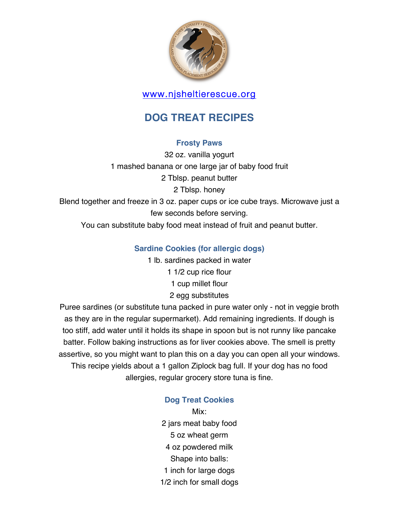

# www.njsheltierescue.org

# **DOG TREAT RECIPES**

# **Frosty Paws**

32 oz. vanilla yogurt 1 mashed banana or one large jar of baby food fruit 2 Tblsp. peanut butter 2 Tblsp. honey Blend together and freeze in 3 oz. paper cups or ice cube trays. Microwave just a few seconds before serving.

You can substitute baby food meat instead of fruit and peanut butter.

# **Sardine Cookies (for allergic dogs)**

1 lb. sardines packed in water 1 1/2 cup rice flour 1 cup millet flour 2 egg substitutes

Puree sardines (or substitute tuna packed in pure water only - not in veggie broth as they are in the regular supermarket). Add remaining ingredients. If dough is too stiff, add water until it holds its shape in spoon but is not runny like pancake batter. Follow baking instructions as for liver cookies above. The smell is pretty assertive, so you might want to plan this on a day you can open all your windows. This recipe yields about a 1 gallon Ziplock bag full. If your dog has no food allergies, regular grocery store tuna is fine.

# **Dog Treat Cookies**

Mix: 2 jars meat baby food 5 oz wheat germ 4 oz powdered milk Shape into balls: 1 inch for large dogs 1/2 inch for small dogs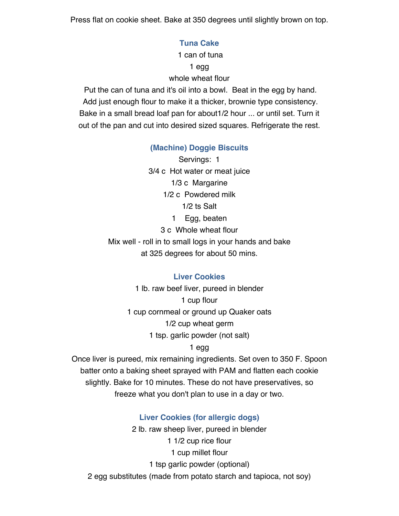Press flat on cookie sheet. Bake at 350 degrees until slightly brown on top.

### **Tuna Cake**

1 can of tuna 1 egg whole wheat flour

Put the can of tuna and it's oil into a bowl. Beat in the egg by hand. Add just enough flour to make it a thicker, brownie type consistency. Bake in a small bread loaf pan for about1/2 hour ... or until set. Turn it out of the pan and cut into desired sized squares. Refrigerate the rest.

## **(Machine) Doggie Biscuits**

Servings: 1 3/4 c Hot water or meat juice 1/3 c Margarine 1/2 c Powdered milk 1/2 ts Salt 1 Egg, beaten 3 c Whole wheat flour Mix well - roll in to small logs in your hands and bake at 325 degrees for about 50 mins.

### **Liver Cookies**

1 lb. raw beef liver, pureed in blender 1 cup flour 1 cup cornmeal or ground up Quaker oats 1/2 cup wheat germ 1 tsp. garlic powder (not salt)

### 1 egg

Once liver is pureed, mix remaining ingredients. Set oven to 350 F. Spoon batter onto a baking sheet sprayed with PAM and flatten each cookie slightly. Bake for 10 minutes. These do not have preservatives, so freeze what you don't plan to use in a day or two.

### **Liver Cookies (for allergic dogs)**

2 lb. raw sheep liver, pureed in blender 1 1/2 cup rice flour 1 cup millet flour 1 tsp garlic powder (optional) 2 egg substitutes (made from potato starch and tapioca, not soy)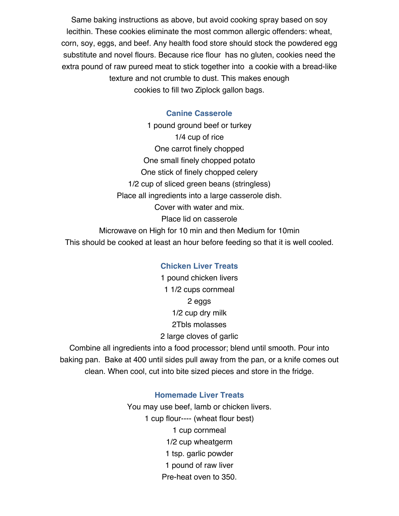Same baking instructions as above, but avoid cooking spray based on soy lecithin. These cookies eliminate the most common allergic offenders: wheat, corn, soy, eggs, and beef. Any health food store should stock the powdered egg substitute and novel flours. Because rice flour has no gluten, cookies need the extra pound of raw pureed meat to stick together into a cookie with a bread-like texture and not crumble to dust. This makes enough cookies to fill two Ziplock gallon bags.

### **Canine Casserole**

1 pound ground beef or turkey 1/4 cup of rice One carrot finely chopped One small finely chopped potato One stick of finely chopped celery 1/2 cup of sliced green beans (stringless) Place all ingredients into a large casserole dish. Cover with water and mix. Place lid on casserole Microwave on High for 10 min and then Medium for 10min This should be cooked at least an hour before feeding so that it is well cooled.

#### **Chicken Liver Treats**

1 pound chicken livers 1 1/2 cups cornmeal 2 eggs 1/2 cup dry milk 2Tbls molasses 2 large cloves of garlic

Combine all ingredients into a food processor; blend until smooth. Pour into baking pan. Bake at 400 until sides pull away from the pan, or a knife comes out clean. When cool, cut into bite sized pieces and store in the fridge.

### **Homemade Liver Treats**

You may use beef, lamb or chicken livers. 1 cup flour---- (wheat flour best) 1 cup cornmeal 1/2 cup wheatgerm 1 tsp. garlic powder 1 pound of raw liver Pre-heat oven to 350.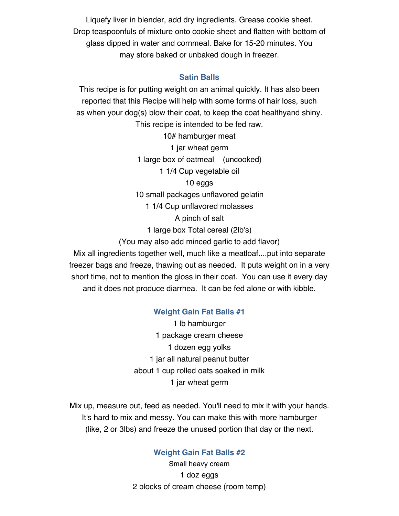Liquefy liver in blender, add dry ingredients. Grease cookie sheet. Drop teaspoonfuls of mixture onto cookie sheet and flatten with bottom of glass dipped in water and cornmeal. Bake for 15-20 minutes. You may store baked or unbaked dough in freezer.

### **Satin Balls**

This recipe is for putting weight on an animal quickly. It has also been reported that this Recipe will help with some forms of hair loss, such as when your dog(s) blow their coat, to keep the coat healthyand shiny. This recipe is intended to be fed raw. 10# hamburger meat 1 jar wheat germ 1 large box of oatmeal (uncooked) 1 1/4 Cup vegetable oil 10 eggs 10 small packages unflavored gelatin 1 1/4 Cup unflavored molasses A pinch of salt 1 large box Total cereal (2lb's) (You may also add minced garlic to add flavor) Mix all ingredients together well, much like a meatloaf....put into separate

freezer bags and freeze, thawing out as needed. It puts weight on in a very short time, not to mention the gloss in their coat. You can use it every day and it does not produce diarrhea. It can be fed alone or with kibble.

### **Weight Gain Fat Balls #1**

1 lb hamburger 1 package cream cheese 1 dozen egg yolks 1 jar all natural peanut butter about 1 cup rolled oats soaked in milk 1 jar wheat germ

Mix up, measure out, feed as needed. You'll need to mix it with your hands. It's hard to mix and messy. You can make this with more hamburger (like, 2 or 3lbs) and freeze the unused portion that day or the next.

### **Weight Gain Fat Balls #2**

Small heavy cream 1 doz eggs 2 blocks of cream cheese (room temp)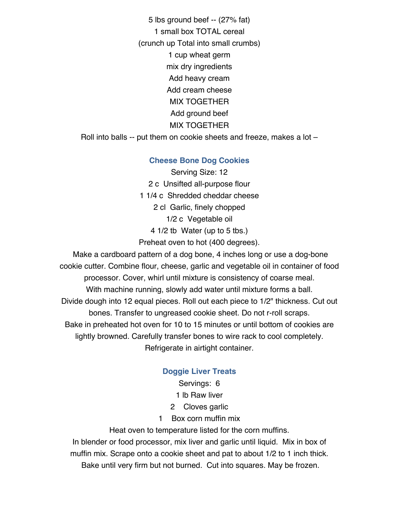5 lbs ground beef -- (27% fat) 1 small box TOTAL cereal (crunch up Total into small crumbs) 1 cup wheat germ mix dry ingredients Add heavy cream Add cream cheese MIX TOGETHER Add ground beef MIX TOGETHER Roll into balls -- put them on cookie sheets and freeze, makes a lot –

### **Cheese Bone Dog Cookies**

Serving Size: 12 2 c Unsifted all-purpose flour 1 1/4 c Shredded cheddar cheese 2 cl Garlic, finely chopped 1/2 c Vegetable oil 4 1/2 tb Water (up to 5 tbs.) Preheat oven to hot (400 degrees).

Make a cardboard pattern of a dog bone, 4 inches long or use a dog-bone cookie cutter. Combine flour, cheese, garlic and vegetable oil in container of food processor. Cover, whirl until mixture is consistency of coarse meal. With machine running, slowly add water until mixture forms a ball. Divide dough into 12 equal pieces. Roll out each piece to 1/2" thickness. Cut out bones. Transfer to ungreased cookie sheet. Do not r-roll scraps. Bake in preheated hot oven for 10 to 15 minutes or until bottom of cookies are lightly browned. Carefully transfer bones to wire rack to cool completely. Refrigerate in airtight container.

# **Doggie Liver Treats**

Servings: 6

1 lb Raw liver

2 Cloves garlic

1 Box corn muffin mix

Heat oven to temperature listed for the corn muffins.

In blender or food processor, mix liver and garlic until liquid. Mix in box of muffin mix. Scrape onto a cookie sheet and pat to about 1/2 to 1 inch thick.

Bake until very firm but not burned. Cut into squares. May be frozen.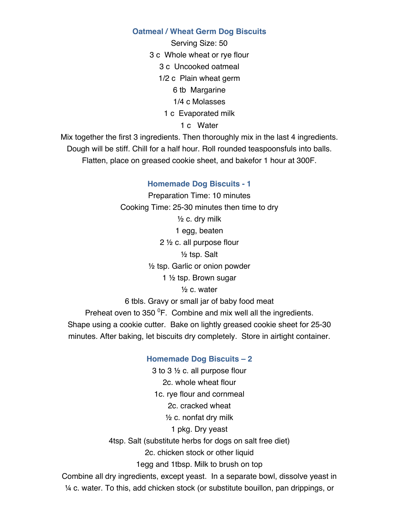### **Oatmeal / Wheat Germ Dog Biscuits**

Serving Size: 50 3 c Whole wheat or rye flour 3 c Uncooked oatmeal 1/2 c Plain wheat germ 6 tb Margarine 1/4 c Molasses 1 c Evaporated milk

1 c Water

Mix together the first 3 ingredients. Then thoroughly mix in the last 4 ingredients. Dough will be stiff. Chill for a half hour. Roll rounded teaspoonsfuls into balls. Flatten, place on greased cookie sheet, and bakefor 1 hour at 300F.

#### **Homemade Dog Biscuits - 1**

Preparation Time: 10 minutes Cooking Time: 25-30 minutes then time to dry  $\frac{1}{2}$  c. dry milk 1 egg, beaten 2 ½ c. all purpose flour ½ tsp. Salt ½ tsp. Garlic or onion powder 1 ½ tsp. Brown sugar  $\frac{1}{2}$  c. water 6 tbls. Gravy or small jar of baby food meat Preheat oven to 350  $\mathrm{^{0}F.}$  Combine and mix well all the ingredients. Shape using a cookie cutter. Bake on lightly greased cookie sheet for 25-30 minutes. After baking, let biscuits dry completely. Store in airtight container.

### **Homemade Dog Biscuits – 2**

3 to 3 ½ c. all purpose flour 2c. whole wheat flour 1c. rye flour and cornmeal 2c. cracked wheat  $\frac{1}{2}$  c. nonfat dry milk 1 pkg. Dry yeast 4tsp. Salt (substitute herbs for dogs on salt free diet) 2c. chicken stock or other liquid 1egg and 1tbsp. Milk to brush on top Combine all dry ingredients, except yeast. In a separate bowl, dissolve yeast in ¼ c. water. To this, add chicken stock (or substitute bouillon, pan drippings, or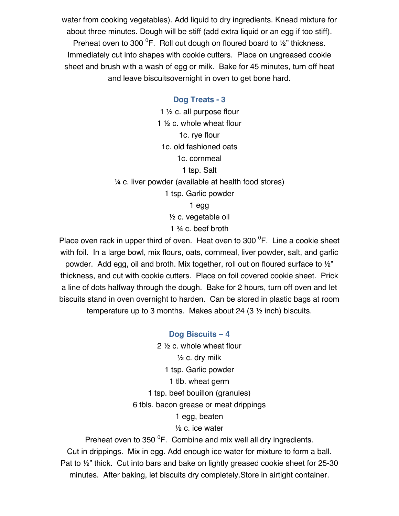water from cooking vegetables). Add liquid to dry ingredients. Knead mixture for about three minutes. Dough will be stiff (add extra liquid or an egg if too stiff). Preheat oven to 300  ${}^{0}$ F. Roll out dough on floured board to  $\frac{1}{2}$ " thickness. Immediately cut into shapes with cookie cutters. Place on ungreased cookie sheet and brush with a wash of egg or milk. Bake for 45 minutes, turn off heat and leave biscuitsovernight in oven to get bone hard.

#### **Dog Treats - 3**

1 ½ c. all purpose flour 1 ½ c. whole wheat flour 1c. rye flour 1c. old fashioned oats 1c. cornmeal 1 tsp. Salt ¼ c. liver powder (available at health food stores) 1 tsp. Garlic powder 1 egg ½ c. vegetable oil 1 ¾ c. beef broth

Place oven rack in upper third of oven. Heat oven to 300  $\mathrm{^0F}$ . Line a cookie sheet with foil. In a large bowl, mix flours, oats, cornmeal, liver powder, salt, and garlic powder. Add egg, oil and broth. Mix together, roll out on floured surface to ½" thickness, and cut with cookie cutters. Place on foil covered cookie sheet. Prick a line of dots halfway through the dough. Bake for 2 hours, turn off oven and let biscuits stand in oven overnight to harden. Can be stored in plastic bags at room temperature up to 3 months. Makes about 24 (3 ½ inch) biscuits.

> **Dog Biscuits – 4** 2 ½ c. whole wheat flour ½ c. dry milk 1 tsp. Garlic powder 1 tlb. wheat germ 1 tsp. beef bouillon (granules) 6 tbls. bacon grease or meat drippings 1 egg, beaten

½ c. ice water

Preheat oven to 350  $\mathrm{^{0}F.}$  Combine and mix well all dry ingredients. Cut in drippings. Mix in egg. Add enough ice water for mixture to form a ball. Pat to ½" thick. Cut into bars and bake on lightly greased cookie sheet for 25-30 minutes. After baking, let biscuits dry completely.Store in airtight container.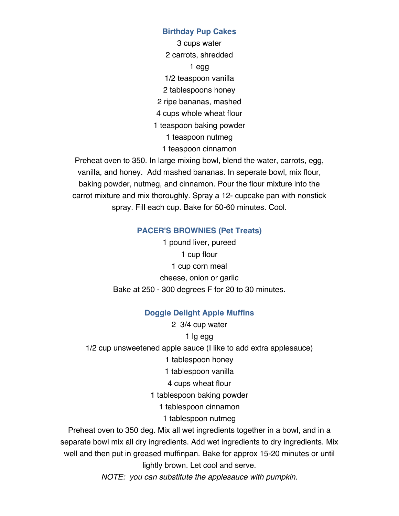### **Birthday Pup Cakes**

3 cups water 2 carrots, shredded 1 egg 1/2 teaspoon vanilla 2 tablespoons honey 2 ripe bananas, mashed 4 cups whole wheat flour 1 teaspoon baking powder 1 teaspoon nutmeg 1 teaspoon cinnamon

Preheat oven to 350. In large mixing bowl, blend the water, carrots, egg, vanilla, and honey. Add mashed bananas. In seperate bowl, mix flour, baking powder, nutmeg, and cinnamon. Pour the flour mixture into the carrot mixture and mix thoroughly. Spray a 12- cupcake pan with nonstick spray. Fill each cup. Bake for 50-60 minutes. Cool.

## **PACER'S BROWNIES (Pet Treats)**

1 pound liver, pureed 1 cup flour 1 cup corn meal cheese, onion or garlic Bake at 250 - 300 degrees F for 20 to 30 minutes.

# **Doggie Delight Apple Muffins**

2 3/4 cup water

1 lg egg

1/2 cup unsweetened apple sauce (I like to add extra applesauce)

1 tablespoon honey

1 tablespoon vanilla

4 cups wheat flour

1 tablespoon baking powder

1 tablespoon cinnamon

1 tablespoon nutmeg

Preheat oven to 350 deg. Mix all wet ingredients together in a bowl, and in a separate bowl mix all dry ingredients. Add wet ingredients to dry ingredients. Mix well and then put in greased muffinpan. Bake for approx 15-20 minutes or until lightly brown. Let cool and serve.

*NOTE: you can substitute the applesauce with pumpkin.*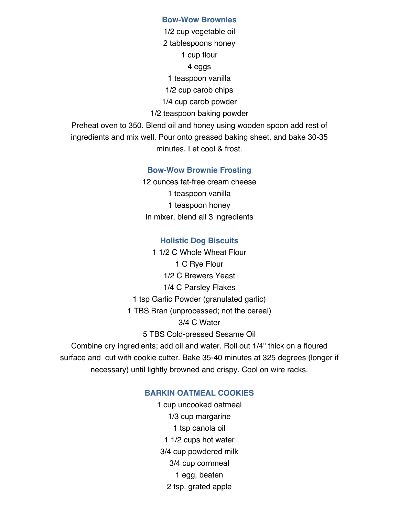#### **Bow-Wow Brownies**

1/2 cup vegetable oil 2 tablespoons honey 1 cup flour 4 eggs 1 teaspoon vanilla 1/2 cup carob chips 1/4 cup carob powder 1/2 teaspoon baking powder Preheat oven to 350. Blend oil and honey using wooden spoon add rest of

ingredients and mix well. Pour onto greased baking sheet, and bake 30-35 minutes. Let cool & frost.

#### **Bow-Wow Brownie Frosting**

12 ounces fat-free cream cheese 1 teaspoon vanilla 1 teaspoon honey In mixer, blend all 3 ingredients

#### **Holistic Dog Biscuits**

1 1/2 C Whole Wheat Flour 1 C Rye Flour 1/2 C Brewers Yeast 1/4 C Parsley Flakes 1 tsp Garlic Powder (granulated garlic) 1 TBS Bran (unprocessed; not the cereal) 3/4 C Water 5 TBS Cold-pressed Sesame Oil Combine dry ingredients; add oil and water. Roll out 1/4" thick on a floured surface and cut with cookie cutter. Bake 35-40 minutes at 325 degrees (longer if

necessary) until lightly browned and crispy. Cool on wire racks.

### **BARKIN OATMEAL COOKIES**

1 cup uncooked oatmeal 1/3 cup margarine 1 tsp canola oil 1 1/2 cups hot water 3/4 cup powdered milk 3/4 cup cornmeal 1 egg, beaten 2 tsp. grated apple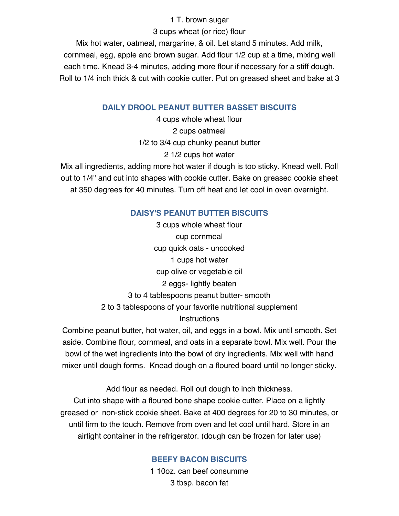### 1 T. brown sugar

3 cups wheat (or rice) flour

Mix hot water, oatmeal, margarine, & oil. Let stand 5 minutes. Add milk, cornmeal, egg, apple and brown sugar. Add flour 1/2 cup at a time, mixing well each time. Knead 3-4 minutes, adding more flour if necessary for a stiff dough. Roll to 1/4 inch thick & cut with cookie cutter. Put on greased sheet and bake at 3

# **DAILY DROOL PEANUT BUTTER BASSET BISCUITS**

4 cups whole wheat flour 2 cups oatmeal 1/2 to 3/4 cup chunky peanut butter 2 1/2 cups hot water

Mix all ingredients, adding more hot water if dough is too sticky. Knead well. Roll out to 1/4" and cut into shapes with cookie cutter. Bake on greased cookie sheet at 350 degrees for 40 minutes. Turn off heat and let cool in oven overnight.

# **DAISY'S PEANUT BUTTER BISCUITS**

3 cups whole wheat flour cup cornmeal cup quick oats - uncooked 1 cups hot water cup olive or vegetable oil 2 eggs- lightly beaten 3 to 4 tablespoons peanut butter- smooth 2 to 3 tablespoons of your favorite nutritional supplement **Instructions** 

Combine peanut butter, hot water, oil, and eggs in a bowl. Mix until smooth. Set aside. Combine flour, cornmeal, and oats in a separate bowl. Mix well. Pour the bowl of the wet ingredients into the bowl of dry ingredients. Mix well with hand mixer until dough forms. Knead dough on a floured board until no longer sticky.

Add flour as needed. Roll out dough to inch thickness. Cut into shape with a floured bone shape cookie cutter. Place on a lightly greased or non-stick cookie sheet. Bake at 400 degrees for 20 to 30 minutes, or until firm to the touch. Remove from oven and let cool until hard. Store in an airtight container in the refrigerator. (dough can be frozen for later use)

# **BEEFY BACON BISCUITS**

1 10oz. can beef consumme 3 tbsp. bacon fat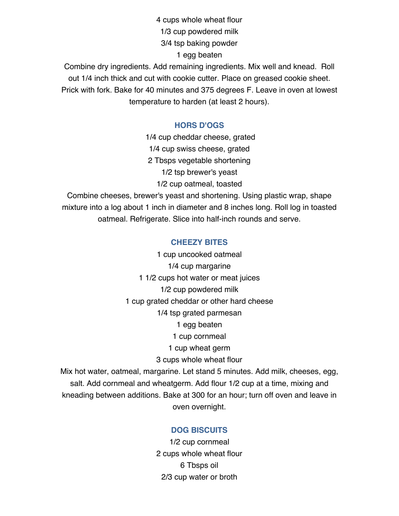4 cups whole wheat flour 1/3 cup powdered milk 3/4 tsp baking powder 1 egg beaten

Combine dry ingredients. Add remaining ingredients. Mix well and knead. Roll out 1/4 inch thick and cut with cookie cutter. Place on greased cookie sheet. Prick with fork. Bake for 40 minutes and 375 degrees F. Leave in oven at lowest temperature to harden (at least 2 hours).

### **HORS D'OGS**

1/4 cup cheddar cheese, grated 1/4 cup swiss cheese, grated 2 Tbsps vegetable shortening 1/2 tsp brewer's yeast 1/2 cup oatmeal, toasted Combine cheeses, brewer's yeast and shortening. Using plastic wrap, shape mixture into a log about 1 inch in diameter and 8 inches long. Roll log in toasted oatmeal. Refrigerate. Slice into half-inch rounds and serve.

#### **CHEEZY BITES**

1 cup uncooked oatmeal 1/4 cup margarine 1 1/2 cups hot water or meat juices 1/2 cup powdered milk 1 cup grated cheddar or other hard cheese 1/4 tsp grated parmesan 1 egg beaten 1 cup cornmeal 1 cup wheat germ 3 cups whole wheat flour Mix hot water, oatmeal, margarine. Let stand 5 minutes. Add milk, cheeses, egg,

salt. Add cornmeal and wheatgerm. Add flour 1/2 cup at a time, mixing and kneading between additions. Bake at 300 for an hour; turn off oven and leave in oven overnight.

#### **DOG BISCUITS**

1/2 cup cornmeal 2 cups whole wheat flour 6 Tbsps oil 2/3 cup water or broth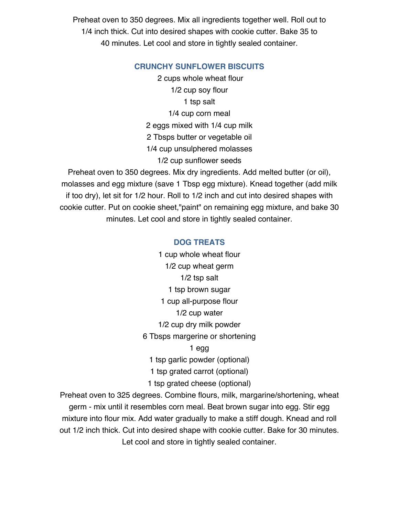Preheat oven to 350 degrees. Mix all ingredients together well. Roll out to 1/4 inch thick. Cut into desired shapes with cookie cutter. Bake 35 to 40 minutes. Let cool and store in tightly sealed container.

### **CRUNCHY SUNFLOWER BISCUITS**

2 cups whole wheat flour 1/2 cup soy flour 1 tsp salt 1/4 cup corn meal 2 eggs mixed with 1/4 cup milk 2 Tbsps butter or vegetable oil 1/4 cup unsulphered molasses 1/2 cup sunflower seeds

Preheat oven to 350 degrees. Mix dry ingredients. Add melted butter (or oil), molasses and egg mixture (save 1 Tbsp egg mixture). Knead together (add milk if too dry), let sit for 1/2 hour. Roll to 1/2 inch and cut into desired shapes with cookie cutter. Put on cookie sheet,"paint" on remaining egg mixture, and bake 30 minutes. Let cool and store in tightly sealed container.

### **DOG TREATS**

1 cup whole wheat flour 1/2 cup wheat germ 1/2 tsp salt 1 tsp brown sugar 1 cup all-purpose flour 1/2 cup water 1/2 cup dry milk powder 6 Tbsps margerine or shortening 1 egg 1 tsp garlic powder (optional) 1 tsp grated carrot (optional) 1 tsp grated cheese (optional)

Preheat oven to 325 degrees. Combine flours, milk, margarine/shortening, wheat germ - mix until it resembles corn meal. Beat brown sugar into egg. Stir egg mixture into flour mix. Add water gradually to make a stiff dough. Knead and roll out 1/2 inch thick. Cut into desired shape with cookie cutter. Bake for 30 minutes. Let cool and store in tightly sealed container.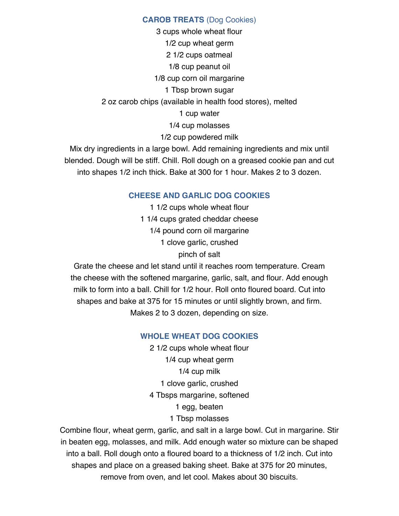### **CAROB TREATS** (Dog Cookies)

3 cups whole wheat flour 1/2 cup wheat germ 2 1/2 cups oatmeal 1/8 cup peanut oil 1/8 cup corn oil margarine 1 Tbsp brown sugar 2 oz carob chips (available in health food stores), melted 1 cup water 1/4 cup molasses 1/2 cup powdered milk

Mix dry ingredients in a large bowl. Add remaining ingredients and mix until blended. Dough will be stiff. Chill. Roll dough on a greased cookie pan and cut into shapes 1/2 inch thick. Bake at 300 for 1 hour. Makes 2 to 3 dozen.

### **CHEESE AND GARLIC DOG COOKIES**

1 1/2 cups whole wheat flour 1 1/4 cups grated cheddar cheese 1/4 pound corn oil margarine 1 clove garlic, crushed pinch of salt

Grate the cheese and let stand until it reaches room temperature. Cream the cheese with the softened margarine, garlic, salt, and flour. Add enough milk to form into a ball. Chill for 1/2 hour. Roll onto floured board. Cut into shapes and bake at 375 for 15 minutes or until slightly brown, and firm. Makes 2 to 3 dozen, depending on size.

### **WHOLE WHEAT DOG COOKIES**

2 1/2 cups whole wheat flour 1/4 cup wheat germ 1/4 cup milk 1 clove garlic, crushed 4 Tbsps margarine, softened 1 egg, beaten 1 Tbsp molasses

Combine flour, wheat germ, garlic, and salt in a large bowl. Cut in margarine. Stir in beaten egg, molasses, and milk. Add enough water so mixture can be shaped into a ball. Roll dough onto a floured board to a thickness of 1/2 inch. Cut into shapes and place on a greased baking sheet. Bake at 375 for 20 minutes, remove from oven, and let cool. Makes about 30 biscuits.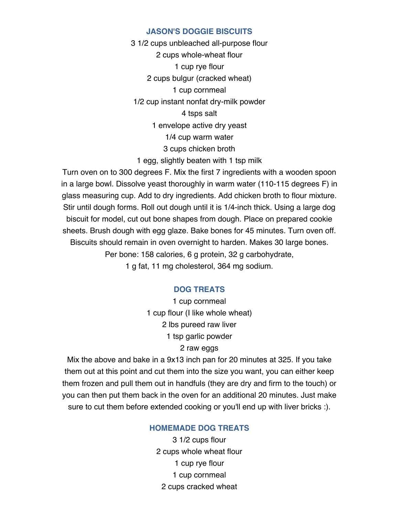#### **JASON'S DOGGIE BISCUITS**

3 1/2 cups unbleached all-purpose flour 2 cups whole-wheat flour 1 cup rye flour 2 cups bulgur (cracked wheat) 1 cup cornmeal 1/2 cup instant nonfat dry-milk powder 4 tsps salt 1 envelope active dry yeast 1/4 cup warm water 3 cups chicken broth 1 egg, slightly beaten with 1 tsp milk

Turn oven on to 300 degrees F. Mix the first 7 ingredients with a wooden spoon in a large bowl. Dissolve yeast thoroughly in warm water (110-115 degrees F) in glass measuring cup. Add to dry ingredients. Add chicken broth to flour mixture. Stir until dough forms. Roll out dough until it is 1/4-inch thick. Using a large dog biscuit for model, cut out bone shapes from dough. Place on prepared cookie sheets. Brush dough with egg glaze. Bake bones for 45 minutes. Turn oven off. Biscuits should remain in oven overnight to harden. Makes 30 large bones. Per bone: 158 calories, 6 g protein, 32 g carbohydrate, 1 g fat, 11 mg cholesterol, 364 mg sodium.

#### **DOG TREATS**

1 cup cornmeal 1 cup flour (I like whole wheat) 2 lbs pureed raw liver 1 tsp garlic powder 2 raw eggs

Mix the above and bake in a 9x13 inch pan for 20 minutes at 325. If you take them out at this point and cut them into the size you want, you can either keep them frozen and pull them out in handfuls (they are dry and firm to the touch) or you can then put them back in the oven for an additional 20 minutes. Just make sure to cut them before extended cooking or you'll end up with liver bricks :).

### **HOMEMADE DOG TREATS**

3 1/2 cups flour 2 cups whole wheat flour 1 cup rye flour 1 cup cornmeal 2 cups cracked wheat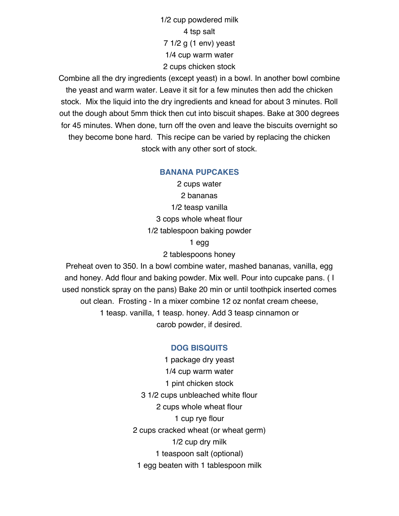1/2 cup powdered milk 4 tsp salt 7 1/2 g (1 env) yeast 1/4 cup warm water 2 cups chicken stock

Combine all the dry ingredients (except yeast) in a bowl. In another bowl combine the yeast and warm water. Leave it sit for a few minutes then add the chicken stock. Mix the liquid into the dry ingredients and knead for about 3 minutes. Roll out the dough about 5mm thick then cut into biscuit shapes. Bake at 300 degrees for 45 minutes. When done, turn off the oven and leave the biscuits overnight so they become bone hard. This recipe can be varied by replacing the chicken stock with any other sort of stock.

#### **BANANA PUPCAKES**

2 cups water 2 bananas 1/2 teasp vanilla 3 cops whole wheat flour 1/2 tablespoon baking powder 1 egg

2 tablespoons honey

Preheat oven to 350. In a bowl combine water, mashed bananas, vanilla, egg and honey. Add flour and baking powder. Mix well. Pour into cupcake pans. ( I used nonstick spray on the pans) Bake 20 min or until toothpick inserted comes out clean. Frosting - In a mixer combine 12 oz nonfat cream cheese, 1 teasp. vanilla, 1 teasp. honey. Add 3 teasp cinnamon or carob powder, if desired.

### **DOG BISQUITS**

1 package dry yeast 1/4 cup warm water 1 pint chicken stock 3 1/2 cups unbleached white flour 2 cups whole wheat flour 1 cup rye flour 2 cups cracked wheat (or wheat germ) 1/2 cup dry milk 1 teaspoon salt (optional) 1 egg beaten with 1 tablespoon milk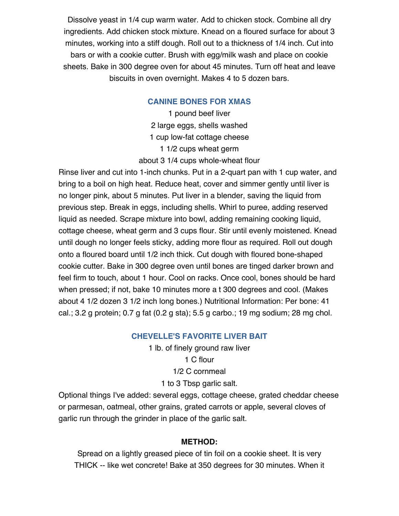Dissolve yeast in 1/4 cup warm water. Add to chicken stock. Combine all dry ingredients. Add chicken stock mixture. Knead on a floured surface for about 3 minutes, working into a stiff dough. Roll out to a thickness of 1/4 inch. Cut into bars or with a cookie cutter. Brush with egg/milk wash and place on cookie sheets. Bake in 300 degree oven for about 45 minutes. Turn off heat and leave biscuits in oven overnight. Makes 4 to 5 dozen bars.

### **CANINE BONES FOR XMAS**

1 pound beef liver 2 large eggs, shells washed 1 cup low-fat cottage cheese 1 1/2 cups wheat germ about 3 1/4 cups whole-wheat flour

Rinse liver and cut into 1-inch chunks. Put in a 2-quart pan with 1 cup water, and bring to a boil on high heat. Reduce heat, cover and simmer gently until liver is no longer pink, about 5 minutes. Put liver in a blender, saving the liquid from previous step. Break in eggs, including shells. Whirl to puree, adding reserved liquid as needed. Scrape mixture into bowl, adding remaining cooking liquid, cottage cheese, wheat germ and 3 cups flour. Stir until evenly moistened. Knead until dough no longer feels sticky, adding more flour as required. Roll out dough onto a floured board until 1/2 inch thick. Cut dough with floured bone-shaped cookie cutter. Bake in 300 degree oven until bones are tinged darker brown and feel firm to touch, about 1 hour. Cool on racks. Once cool, bones should be hard when pressed; if not, bake 10 minutes more a t 300 degrees and cool. (Makes about 4 1/2 dozen 3 1/2 inch long bones.) Nutritional Information: Per bone: 41 cal.; 3.2 g protein; 0.7 g fat (0.2 g sta); 5.5 g carbo.; 19 mg sodium; 28 mg chol.

### **CHEVELLE'S FAVORITE LIVER BAIT**

1 lb. of finely ground raw liver 1 C flour 1/2 C cornmeal 1 to 3 Tbsp garlic salt.

Optional things I've added: several eggs, cottage cheese, grated cheddar cheese or parmesan, oatmeal, other grains, grated carrots or apple, several cloves of garlic run through the grinder in place of the garlic salt.

### **METHOD:**

Spread on a lightly greased piece of tin foil on a cookie sheet. It is very THICK -- like wet concrete! Bake at 350 degrees for 30 minutes. When it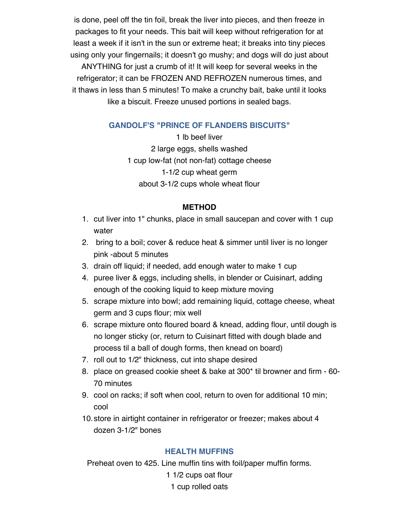is done, peel off the tin foil, break the liver into pieces, and then freeze in packages to fit your needs. This bait will keep without refrigeration for at least a week if it isn't in the sun or extreme heat; it breaks into tiny pieces using only your fingernails; it doesn't go mushy; and dogs will do just about ANYTHING for just a crumb of it! It will keep for several weeks in the refrigerator; it can be FROZEN AND REFROZEN numerous times, and it thaws in less than 5 minutes! To make a crunchy bait, bake until it looks like a biscuit. Freeze unused portions in sealed bags.

# **GANDOLF'S "PRINCE OF FLANDERS BISCUITS"**

1 lb beef liver 2 large eggs, shells washed 1 cup low-fat (not non-fat) cottage cheese 1-1/2 cup wheat germ about 3-1/2 cups whole wheat flour

### **METHOD**

- 1. cut liver into 1" chunks, place in small saucepan and cover with 1 cup water
- 2. bring to a boil; cover & reduce heat & simmer until liver is no longer pink -about 5 minutes
- 3. drain off liquid; if needed, add enough water to make 1 cup
- 4. puree liver & eggs, including shells, in blender or Cuisinart, adding enough of the cooking liquid to keep mixture moving
- 5. scrape mixture into bowl; add remaining liquid, cottage cheese, wheat germ and 3 cups flour; mix well
- 6. scrape mixture onto floured board & knead, adding flour, until dough is no longer sticky (or, return to Cuisinart fitted with dough blade and process til a ball of dough forms, then knead on board)
- 7. roll out to 1/2" thickness, cut into shape desired
- 8. place on greased cookie sheet & bake at 300\* til browner and firm 60- 70 minutes
- 9. cool on racks; if soft when cool, return to oven for additional 10 min; cool
- 10.store in airtight container in refrigerator or freezer; makes about 4 dozen 3-1/2" bones

### **HEALTH MUFFINS**

Preheat oven to 425. Line muffin tins with foil/paper muffin forms. 1 1/2 cups oat flour 1 cup rolled oats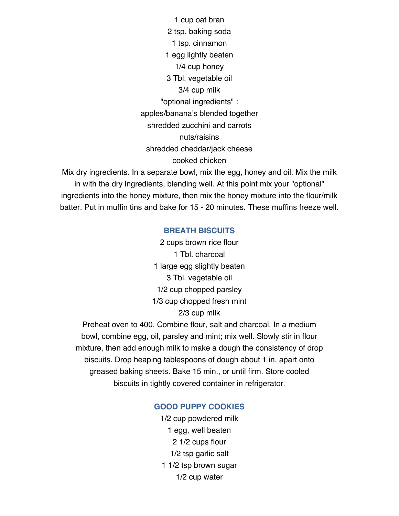1 cup oat bran 2 tsp. baking soda 1 tsp. cinnamon 1 egg lightly beaten 1/4 cup honey 3 Tbl. vegetable oil 3/4 cup milk "optional ingredients" : apples/banana's blended together shredded zucchini and carrots nuts/raisins shredded cheddar/jack cheese cooked chicken

Mix dry ingredients. In a separate bowl, mix the egg, honey and oil. Mix the milk in with the dry ingredients, blending well. At this point mix your "optional" ingredients into the honey mixture, then mix the honey mixture into the flour/milk batter. Put in muffin tins and bake for 15 - 20 minutes. These muffins freeze well.

#### **BREATH BISCUITS**

2 cups brown rice flour 1 Tbl. charcoal 1 large egg slightly beaten 3 Tbl. vegetable oil 1/2 cup chopped parsley 1/3 cup chopped fresh mint 2/3 cup milk

Preheat oven to 400. Combine flour, salt and charcoal. In a medium bowl, combine egg, oil, parsley and mint; mix well. Slowly stir in flour mixture, then add enough milk to make a dough the consistency of drop biscuits. Drop heaping tablespoons of dough about 1 in. apart onto greased baking sheets. Bake 15 min., or until firm. Store cooled biscuits in tightly covered container in refrigerator.

#### **GOOD PUPPY COOKIES**

1/2 cup powdered milk 1 egg, well beaten 2 1/2 cups flour 1/2 tsp garlic salt 1 1/2 tsp brown sugar 1/2 cup water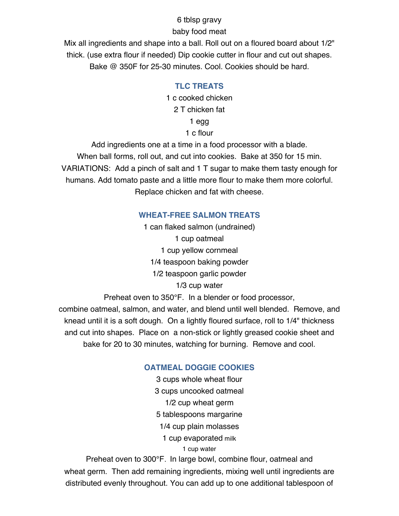### 6 tblsp gravy

# baby food meat

Mix all ingredients and shape into a ball. Roll out on a floured board about 1/2" thick. (use extra flour if needed) Dip cookie cutter in flour and cut out shapes. Bake @ 350F for 25-30 minutes. Cool. Cookies should be hard.

# **TLC TREATS**

1 c cooked chicken 2 T chicken fat 1 egg

1 c flour

Add ingredients one at a time in a food processor with a blade. When ball forms, roll out, and cut into cookies. Bake at 350 for 15 min. VARIATIONS: Add a pinch of salt and 1 T sugar to make them tasty enough for humans. Add tomato paste and a little more flour to make them more colorful. Replace chicken and fat with cheese.

# **WHEAT-FREE SALMON TREATS**

1 can flaked salmon (undrained) 1 cup oatmeal 1 cup yellow cornmeal 1/4 teaspoon baking powder 1/2 teaspoon garlic powder 1/3 cup water

Preheat oven to 350°F. In a blender or food processor,

combine oatmeal, salmon, and water, and blend until well blended. Remove, and knead until it is a soft dough. On a lightly floured surface, roll to 1/4" thickness and cut into shapes. Place on a non-stick or lightly greased cookie sheet and bake for 20 to 30 minutes, watching for burning. Remove and cool.

# **OATMEAL DOGGIE COOKIES**

3 cups whole wheat flour 3 cups uncooked oatmeal 1/2 cup wheat germ 5 tablespoons margarine 1/4 cup plain molasses 1 cup evaporated milk 1 cup water

Preheat oven to 300°F. In large bowl, combine flour, oatmeal and wheat germ. Then add remaining ingredients, mixing well until ingredients are distributed evenly throughout. You can add up to one additional tablespoon of